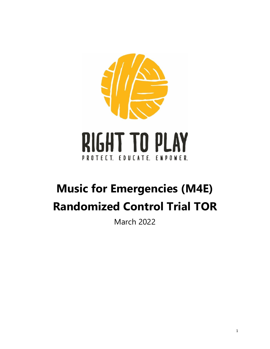

# **Music for Emergencies (M4E) Randomized Control Trial TOR**

March 2022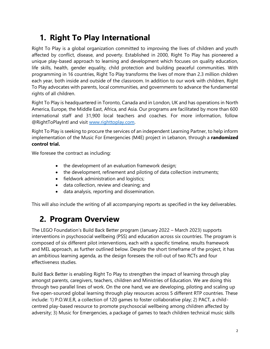# **1. Right To Play International**

Right To Play is a global organization committed to improving the lives of children and youth affected by conflict, disease, and poverty. Established in 2000, Right To Play has pioneered a unique play-based approach to learning and development which focuses on quality education, life skills, health, gender equality, child protection and building peaceful communities. With programming in 16 countries, Right To Play transforms the lives of more than 2.3 million children each year, both inside and outside of the classroom. In addition to our work with children, Right To Play advocates with parents, local communities, and governments to advance the fundamental rights of all children.

Right To Play is headquartered in Toronto, Canada and in London, UK and has operations in North America, Europe, the Middle East, Africa, and Asia. Our programs are facilitated by more than 600 international staff and 31,900 local teachers and coaches. For more information, follow @RightToPlayIntl and visit [www.righttoplay.com.](http://www.righttoplay.com/)

Right To Play is seeking to procure the services of an independent Learning Partner, to help inform implementation of the Music For Emergencies (M4E) project in Lebanon, through a **randomized control trial.**

We foresee the contract as including:

- the development of an evaluation framework design;
- the development, refinement and piloting of data collection instruments;
- fieldwork administration and logistics;
- data collection, review and cleaning; and
- data analysis, reporting and dissemination.

This will also include the writing of all accompanying reports as specified in the key deliverables.

# **2. Program Overview**

The LEGO Foundation's Build Back Better program (January 2022 – March 2023) supports interventions in psychosocial wellbeing (PSS) and education across six countries. The program is composed of six different pilot interventions, each with a specific timeline, results framework and MEL approach, as further outlined below. Despite the short timeframe of the project, it has an ambitious learning agenda, as the design foresees the roll-out of two RCTs and four effectiveness studies.

Build Back Better is enabling Right To Play to strengthen the impact of learning through play amongst parents, caregivers, teachers, children and Ministries of Education. We are doing this through two parallel lines of work. On the one hand, we are developing, piloting and scaling up five open-sourced global learning through play resources across 5 different RTP countries. These include: 1) P.O.W.E.R, a collection of 120 games to foster collaborative play; 2) PACT, a childcentred play-based resource to promote psychosocial wellbeing among children affected by adversity; 3) Music for Emergencies, a package of games to teach children technical music skills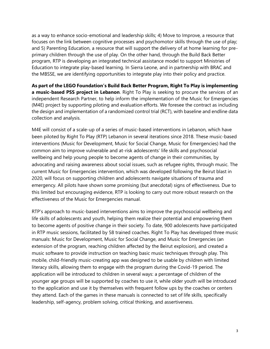as a way to enhance socio-emotional and leadership skills; 4) Move to Improve, a resource that focuses on the link between cognitive processes and psychomotor skills through the use of play; and 5) Parenting Education, a resource that will support the delivery of at home learning for preprimary children through the use of play. On the other hand, through the Build Back Better program, RTP is developing an integrated technical assistance model to support Ministries of Education to integrate play-based learning. In Sierra Leone, and in partnership with BRAC and the MBSSE, we are identifying opportunities to integrate play into their policy and practice.

**As part of the LEGO Foundation's Build Back Better Program, Right To Play is implementing a music-based PSS project in Lebanon**. Right To Play is seeking to procure the services of an independent Research Partner, to help inform the implementation of the Music for Emergencies (M4E) project by supporting piloting and evaluation efforts. We foresee the contract as including the design and implementation of a randomized control trial (RCT), with baseline and endline data collection and analysis.

M4E will consist of a scale-up of a series of music-based interventions in Lebanon, which have been piloted by Right To Play (RTP) Lebanon in several iterations since 2018. These music-based interventions (Music for Development, Music for Social Change, Music for Emergencies) had the common aim to improve vulnerable and at-risk adolescents' life skills and psychosocial wellbeing and help young people to become agents of change in their communities, by advocating and raising awareness about social issues, such as refugee rights, through music. The current Music for Emergencies intervention, which was developed following the Beirut blast in 2020, will focus on supporting children and adolescents navigate situations of trauma and emergency. All pilots have shown some promising (but anecdotal) signs of effectiveness. Due to this limited but encouraging evidence, RTP is looking to carry out more robust research on the effectiveness of the Music for Emergencies manual.

RTP's approach to music-based interventions aims to improve the psychosocial wellbeing and life skills of adolescents and youth, helping them realize their potential and empowering them to become agents of positive change in their society. To date, 900 adolescents have participated in RTP music sessions, facilitated by 58 trained coaches. Right To Play has developed three music manuals: Music for Development, Music for Social Change, and Music for Emergencies (an extension of the program, reaching children affected by the Beirut explosion), and created a music software to provide instruction on teaching basic music techniques through play. This mobile, child-friendly music-creating app was designed to be usable by children with limited literacy skills, allowing them to engage with the program during the Covid-19 period. The application will be introduced to children in several ways: a percentage of children of the younger age groups will be supported by coaches to use it, while older youth will be introduced to the application and use it by themselves with frequent follow ups by the coaches or centers they attend. Each of the games in these manuals is connected to set of life skills, specifically leadership, self-agency, problem solving, critical thinking, and assertiveness.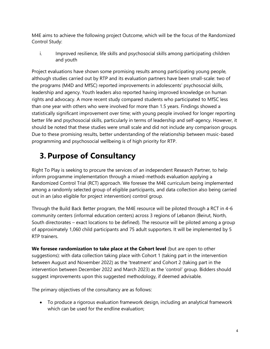M4E aims to achieve the following project Outcome, which will be the focus of the Randomized Control Study:

i. Improved resilience, life skills and psychosocial skills among participating children and youth

Project evaluations have shown some promising results among participating young people, although studies carried out by RTP and its evaluation partners have been small-scale: two of the programs (M4D and MfSC) reported improvements in adolescents' psychosocial skills, leadership and agency. Youth leaders also reported having improved knowledge on human rights and advocacy. A more recent study compared students who participated to MfSC less than one year with others who were involved for more than 1.5 years. Findings showed a statistically significant improvement over time; with young people involved for longer reporting better life and psychosocial skills, particularly in terms of leadership and self-agency. However, it should be noted that these studies were small scale and did not include any comparison groups. Due to these promising results, better understanding of the relationship between music-based programming and psychosocial wellbeing is of high priority for RTP.

### **3. Purpose of Consultancy**

Right To Play is seeking to procure the services of an independent Research Partner, to help inform programme implementation through a mixed-methods evaluation applying a Randomized Control Trial (RCT) approach. We foresee the M4E curriculum being implemented among a randomly selected group of eligible participants, and data collection also being carried out in an (also eligible for project intervention) control group.

Through the Build Back Better program, the M4E resource will be piloted through a RCT in 4-6 community centers (informal education centers) across 3 regions of Lebanon (Beirut, North, South directorates – exact locations to be defined). The resource will be piloted among a group of approximately 1,060 child participants and 75 adult supporters. It will be implemented by 5 RTP trainers.

**We foresee randomization to take place at the Cohort level** (but are open to other suggestions): with data collection taking place with Cohort 1 (taking part in the intervention between August and November 2022) as the 'treatment' and Cohort 2 (taking part in the intervention between December 2022 and March 2023) as the 'control' group. Bidders should suggest improvements upon this suggested methodology, if deemed advisable.

The primary objectives of the consultancy are as follows:

• To produce a rigorous evaluation framework design, including an analytical framework which can be used for the endline evaluation;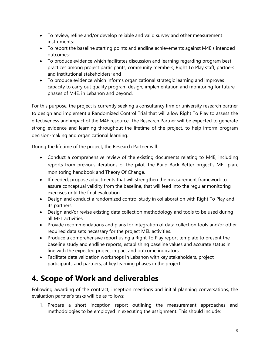- To review, refine and/or develop reliable and valid survey and other measurement instruments;
- To report the baseline starting points and endline achievements against M4E's intended outcomes;
- To produce evidence which facilitates discussion and learning regarding program best practices among project participants, community members, Right To Play staff, partners and institutional stakeholders; and
- To produce evidence which informs organizational strategic learning and improves capacity to carry out quality program design, implementation and monitoring for future phases of M4E, in Lebanon and beyond.

For this purpose, the project is currently seeking a consultancy firm or university research partner to design and implement a Randomized Control Trial that will allow Right To Play to assess the effectiveness and impact of the M4E resource. The Research Partner will be expected to generate strong evidence and learning throughout the lifetime of the project, to help inform program decision-making and organizational learning.

During the lifetime of the project, the Research Partner will:

- Conduct a comprehensive review of the existing documents relating to M4E, including reports from previous iterations of the pilot, the Build Back Better project's MEL plan, monitoring handbook and Theory Of Change.
- If needed, propose adjustments that will strengthen the measurement framework to assure conceptual validity from the baseline, that will feed into the regular monitoring exercises until the final evaluation.
- Design and conduct a randomized control study in collaboration with Right To Play and its partners.
- Design and/or revise existing data collection methodology and tools to be used during all MEL activities.
- Provide recommendations and plans for integration of data collection tools and/or other required data sets necessary for the project MEL activities.
- Produce a comprehensive report using a Right To Play report template to present the baseline study and endline reports, establishing baseline values and accurate status in line with the expected project impact and outcome indicators.
- Facilitate data validation workshops in Lebanon with key stakeholders, project participants and partners, at key learning phases in the project.

# **4. Scope of Work and deliverables**

Following awarding of the contract, inception meetings and initial planning conversations, the evaluation partner's tasks will be as follows:

1. Prepare a short inception report outlining the measurement approaches and methodologies to be employed in executing the assignment. This should include: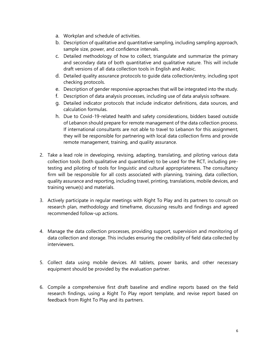- a. Workplan and schedule of activities.
- b. Description of qualitative and quantitative sampling, including sampling approach, sample size, power, and confidence intervals.
- c. Detailed methodology of how to collect, triangulate and summarize the primary and secondary data of both quantitative and qualitative nature. This will include draft versions of all data collection tools in English and Arabic.
- d. Detailed quality assurance protocols to guide data collection/entry, including spot checking protocols.
- e. Description of gender responsive approaches that will be integrated into the study.
- f. Description of data analysis processes, including use of data analysis software.
- g. Detailed indicator protocols that include indicator definitions, data sources, and calculation formulas.
- h. Due to Covid-19-related health and safety considerations, bidders based outside of Lebanon should prepare for remote management of the data collection process. If international consultants are not able to travel to Lebanon for this assignment, they will be responsible for partnering with local data collection firms and provide remote management, training, and quality assurance.
- 2. Take a lead role in developing, revising, adapting, translating, and piloting various data collection tools (both qualitative and quantitative) to be used for the RCT, including pretesting and piloting of tools for linguistic and cultural appropriateness. The consultancy firm will be responsible for all costs associated with planning, training, data collection, quality assurance and reporting, including travel, printing, translations, mobile devices, and training venue(s) and materials.
- 3. Actively participate in regular meetings with Right To Play and its partners to consult on research plan, methodology and timeframe, discussing results and findings and agreed recommended follow-up actions.
- 4. Manage the data collection processes, providing support, supervision and monitoring of data collection and storage. This includes ensuring the credibility of field data collected by interviewers.
- 5. Collect data using mobile devices. All tablets, power banks, and other necessary equipment should be provided by the evaluation partner.
- 6. Compile a comprehensive first draft baseline and endline reports based on the field research findings, using a Right To Play report template, and revise report based on feedback from Right To Play and its partners.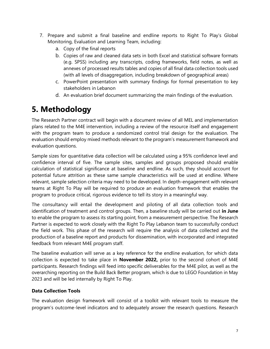- 7. Prepare and submit a final baseline and endline reports to Right To Play's Global Monitoring, Evaluation and Learning Team, including:
	- a. Copy of the final reports
	- b. Copies of raw and cleaned data sets in both Excel and statistical software formats (e.g. SPSS) including any transcripts, coding frameworks, field notes, as well as annexes of processed results tables and copies of all final data collection tools used (with all levels of disaggregation, including breakdown of geographical areas)
	- c. PowerPoint presentation with summary findings for formal presentation to key stakeholders in Lebanon
	- d. An evaluation brief document summarizing the main findings of the evaluation.

### **5. Methodology**

The Research Partner contract will begin with a document review of all MEL and implementation plans related to the M4E intervention, including a review of the resource itself and engagement with the program team to produce a randomized control trial design for the evaluation. The evaluation should employ mixed methods relevant to the program's measurement framework and evaluation questions.

Sample sizes for quantitative data collection will be calculated using a 95% confidence level and confidence interval of five. The sample sites, samples and groups proposed should enable calculation of statistical significance at baseline and endline. As such, they should account for potential future attrition as these same sample characteristics will be used at endline. Where relevant, sample selection criteria may need to be developed. In depth-engagement with relevant teams at Right To Play will be required to produce an evaluation framework that enables the program to produce critical, rigorous evidence to tell its story in a meaningful way.

The consultancy will entail the development and piloting of all data collection tools and identification of treatment and control groups. Then, a baseline study will be carried out **in June**  to enable the program to assess its starting point, from a measurement perspective. The Research Partner is expected to work closely with the Right To Play Lebanon team to successfully conduct the field work. This phase of the research will require the analysis of data collected and the production of a baseline report and products for dissemination, with incorporated and integrated feedback from relevant M4E program staff.

The baseline evaluation will serve as a key reference for the endline evaluation, for which data collection is expected to take place in **November 2022,** prior to the second cohort of M4E participants. Research findings will feed into specific deliverables for the M4E pilot, as well as the overarching reporting on the Build Back Better program, which is due to LEGO Foundation in May 2023 and will be led internally by Right To Play.

### **Data Collection Tools**

The evaluation design framework will consist of a toolkit with relevant tools to measure the program's outcome-level indicators and to adequately answer the research questions. Research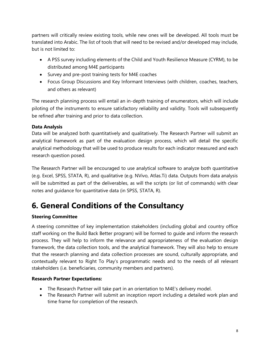partners will critically review existing tools, while new ones will be developed. All tools must be translated into Arabic. The list of tools that will need to be revised and/or developed may include, but is not limited to:

- A PSS survey including elements of the Child and Youth Resilience Measure (CYRM), to be distributed among M4E participants
- Survey and pre-post training tests for M4E coaches
- Focus Group Discussions and Key Informant Interviews (with children, coaches, teachers, and others as relevant)

The research planning process will entail an in-depth training of enumerators, which will include piloting of the instruments to ensure satisfactory reliability and validity. Tools will subsequently be refined after training and prior to data collection.

### **Data Analysis**

Data will be analyzed both quantitatively and qualitatively. The Research Partner will submit an analytical framework as part of the evaluation design process, which will detail the specific analytical methodology that will be used to produce results for each indicator measured and each research question posed.

The Research Partner will be encouraged to use analytical software to analyze both quantitative (e.g. Excel, SPSS, STATA, R), and qualitative (e.g. NVivo, Atlas.Ti) data. Outputs from data analysis will be submitted as part of the deliverables, as will the scripts (or list of commands) with clear notes and guidance for quantitative data (in SPSS, STATA, R).

### **6. General Conditions of the Consultancy**

### **Steering Committee**

A steering committee of key implementation stakeholders (including global and country office staff working on the Build Back Better program) will be formed to guide and inform the research process. They will help to inform the relevance and appropriateness of the evaluation design framework, the data collection tools, and the analytical framework. They will also help to ensure that the research planning and data collection processes are sound, culturally appropriate, and contextually relevant to Right To Play's programmatic needs and to the needs of all relevant stakeholders (i.e. beneficiaries, community members and partners).

### **Research Partner Expectations:**

- The Research Partner will take part in an orientation to M4E's delivery model.
- The Research Partner will submit an inception report including a detailed work plan and time frame for completion of the research.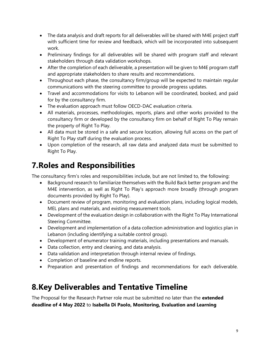- The data analysis and draft reports for all deliverables will be shared with M4E project staff with sufficient time for review and feedback, which will be incorporated into subsequent work.
- Preliminary findings for all deliverables will be shared with program staff and relevant stakeholders through data validation workshops.
- After the completion of each deliverable, a presentation will be given to M4E program staff and appropriate stakeholders to share results and recommendations.
- Throughout each phase, the consultancy firm/group will be expected to maintain regular communications with the steering committee to provide progress updates.
- Travel and accommodations for visits to Lebanon will be coordinated, booked, and paid for by the consultancy firm.
- The evaluation approach must follow OECD-DAC evaluation criteria.
- All materials, processes, methodologies, reports, plans and other works provided to the consultancy firm or developed by the consultancy firm on behalf of Right To Play remain the property of Right To Play.
- All data must be stored in a safe and secure location, allowing full access on the part of Right To Play staff during the evaluation process.
- Upon completion of the research, all raw data and analyzed data must be submitted to Right To Play.

# **7.Roles and Responsibilities**

The consultancy firm's roles and responsibilities include, but are not limited to, the following:

- Background research to familiarize themselves with the Build Back better program and the M4E intervention, as well as Right To Play's approach more broadly (through program documents provided by Right To Play).
- Document review of program, monitoring and evaluation plans, including logical models, MEL plans and materials, and existing measurement tools.
- Development of the evaluation design in collaboration with the Right To Play International Steering Committee.
- Development and implementation of a data collection administration and logistics plan in Lebanon (including identifying a suitable control group).
- Development of enumerator training materials, including presentations and manuals.
- Data collection, entry and cleaning, and data analysis.
- Data validation and interpretation through internal review of findings.
- Completion of baseline and endline reports.
- Preparation and presentation of findings and recommendations for each deliverable.

### **8.Key Deliverables and Tentative Timeline**

The Proposal for the Research Partner role must be submitted no later than the **extended deadline of 4 May 2022** to **Isabella Di Paolo, Monitoring, Evaluation and Learning**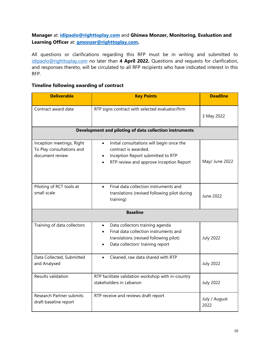### **Manager** at: **[idipaolo@righttoplay.com](mailto:idipaolo@righttoplay.com)** and **Ghinwa Monzer, Monitoring, Evaluation and Learning Officer** at: **[gmonzer@righttoplay.com.](mailto:gmonzer@righttoplay.com)**

All questions or clarifications regarding this RFP must be in writing and submitted to [idipaolo@righttoplay.com](mailto:gmonzer@righttoplay.com) no later than **4 April 2022.** Questions and requests for clarification, and responses thereto, will be circulated to all RFP recipients who have indicated interest in this RFP.

### **Timeline following awarding of contract**

| <b>Deliverable</b>                                                        | <b>Key Points</b>                                                                                                                                                   | <b>Deadline</b>       |  |
|---------------------------------------------------------------------------|---------------------------------------------------------------------------------------------------------------------------------------------------------------------|-----------------------|--|
| Contract award date                                                       | RTP signs contract with selected evaluator/firm                                                                                                                     | 3 May 2022            |  |
| Development and piloting of data collection instruments                   |                                                                                                                                                                     |                       |  |
| Inception meetings, Right<br>To Play consultations and<br>document review | Initial consultations will begin once the<br>$\bullet$<br>contract is awarded.<br>Inception Report submitted to RTP<br>RTP review and approve Inception Report      | May/ June 2022        |  |
| Piloting of RCT tools at<br>small scale                                   | Final data collection instruments and<br>$\bullet$<br>translations (revised following pilot during<br>training)                                                     | June 2022             |  |
| <b>Baseline</b>                                                           |                                                                                                                                                                     |                       |  |
| Training of data collectors                                               | Data collectors training agenda<br>$\bullet$<br>Final data collection instruments and<br>translations (revised following pilot)<br>Data collectors' training report | <b>July 2022</b>      |  |
| Data Collected, Submitted<br>and Analysed                                 | Cleaned, raw data shared with RTP<br>$\bullet$                                                                                                                      | <b>July 2022</b>      |  |
| Results validation                                                        | RTP facilitate validation workshop with in-country<br>stakeholders in Lebanon                                                                                       | <b>July 2022</b>      |  |
| <b>Research Partner submits</b><br>draft baseline report                  | RTP receive and reviews draft report                                                                                                                                | July / August<br>2022 |  |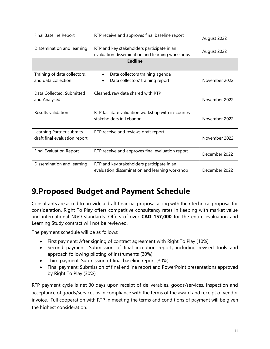| Final Baseline Report                                     | RTP receive and approves final baseline report                                                | August 2022   |  |  |
|-----------------------------------------------------------|-----------------------------------------------------------------------------------------------|---------------|--|--|
| Dissemination and learning                                | RTP and key stakeholders participate in an<br>evaluation dissemination and learning workshops | August 2022   |  |  |
| <b>Endline</b>                                            |                                                                                               |               |  |  |
| Training of data collectors,<br>and data collection       | Data collectors training agenda<br>Data collectors' training report                           | November 2022 |  |  |
| Data Collected, Submitted<br>and Analysed                 | Cleaned, raw data shared with RTP                                                             | November 2022 |  |  |
| Results validation                                        | RTP facilitate validation workshop with in-country<br>stakeholders in Lebanon                 | November 2022 |  |  |
| Learning Partner submits<br>draft final evaluation report | RTP receive and reviews draft report                                                          | November 2022 |  |  |
| <b>Final Evaluation Report</b>                            | RTP receive and approves final evaluation report                                              | December 2022 |  |  |
| Dissemination and learning                                | RTP and key stakeholders participate in an<br>evaluation dissemination and learning workshop  | December 2022 |  |  |

### **9.Proposed Budget and Payment Schedule**

Consultants are asked to provide a draft financial proposal along with their technical proposal for consideration. Right To Play offers competitive consultancy rates in keeping with market value and international NGO standards. Offers of over **CAD 157,000** for the entire evaluation and Learning Study contract will not be reviewed.

The payment schedule will be as follows:

- First payment: After signing of contract agreement with Right To Play (10%)
- Second payment: Submission of final inception report, including revised tools and approach following piloting of instruments (30%)
- Third payment: Submission of final baseline report (30%)
- Final payment: Submission of final endline report and PowerPoint presentations approved by Right To Play (30%)

RTP payment cycle is net 30 days upon receipt of deliverables, goods/services, inspection and acceptance of goods/services as in compliance with the terms of the award and receipt of vendor invoice. Full cooperation with RTP in meeting the terms and conditions of payment will be given the highest consideration.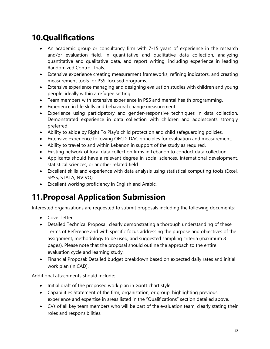# **10.Qualifications**

- An academic group or consultancy firm with 7-15 years of experience in the research and/or evaluation field, in quantitative and qualitative data collection, analyzing quantitative and qualitative data, and report writing, including experience in leading Randomized Control Trials.
- Extensive experience creating measurement frameworks, refining indicators, and creating measurement tools for PSS-focused programs.
- Extensive experience managing and designing evaluation studies with children and young people, ideally within a refugee setting.
- Team members with extensive experience in PSS and mental health programming.
- Experience in life skills and behavioral change measurement.
- Experience using participatory and gender-responsive techniques in data collection. Demonstrated experience in data collection with children and adolescents strongly preferred.
- Ability to abide by Right To Play's child protection and child safeguarding policies.
- Extensive experience following OECD-DAC principles for evaluation and measurement.
- Ability to travel to and within Lebanon in support of the study as required.
- Existing network of local data collection firms in Lebanon to conduct data collection.
- Applicants should have a relevant degree in social sciences, international development, statistical sciences, or another related field.
- Excellent skills and experience with data analysis using statistical computing tools (Excel, SPSS, STATA, NVIVO).
- Excellent working proficiency in English and Arabic.

# **11.Proposal Application Submission**

Interested organizations are requested to submit proposals including the following documents:

- Cover letter
- Detailed Technical Proposal, clearly demonstrating a thorough understanding of these Terms of Reference and with specific focus addressing the purpose and objectives of the assignment, methodology to be used, and suggested sampling criteria (maximum 8 pages). Please note that the proposal should outline the approach to the entire evaluation cycle and learning study.
- Financial Proposal: Detailed budget breakdown based on expected daily rates and initial work plan (in CAD).

Additional attachments should include:

- Initial draft of the proposed work plan in Gantt chart style.
- Capabilities Statement of the firm, organization, or group, highlighting previous experience and expertise in areas listed in the "Qualifications" section detailed above.
- CVs of all key team members who will be part of the evaluation team, clearly stating their roles and responsibilities.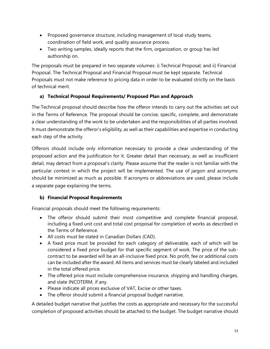- Proposed governance structure, including management of local study teams, coordination of field work, and quality assurance process.
- Two writing samples, ideally reports that the firm, organization, or group has led authorship on.

The proposals must be prepared in two separate volumes: i) Technical Proposal; and ii) Financial Proposal. The Technical Proposal and Financial Proposal must be kept separate. Technical Proposals must not make reference to pricing data in order to be evaluated strictly on the basis of technical merit.

### **a) Technical Proposal Requirements/ Proposed Plan and Approach**

The Technical proposal should describe how the offeror intends to carry out the activities set out in the Terms of Reference. The proposal should be concise, specific, complete, and demonstrate a clear understanding of the work to be undertaken and the responsibilities of all parties involved. It must demonstrate the offeror's eligibility, as well as their capabilities and expertise in conducting each step of the activity.

Offerors should include only information necessary to provide a clear understanding of the proposed action and the justification for it. Greater detail than necessary, as well as insufficient detail, may detract from a proposal's clarity. Please assume that the reader is not familiar with the particular context in which the project will be implemented. The use of jargon and acronyms should be minimized as much as possible. If acronyms or abbreviations are used, please include a separate page explaining the terms.

### **b) Financial Proposal Requirements**

Financial proposals should meet the following requirements:

- The offeror should submit their most competitive and complete financial proposal, including a fixed unit cost and total cost proposal for completion of works as described in the Terms of Reference.
- All costs must be stated in Canadian Dollars (CAD).
- A fixed price must be provided for each category of deliverable, each of which will be considered a fixed price budget for that specific segment of work. The price of the subcontract to be awarded will be an all-inclusive fixed price. No profit, fee or additional costs can be included after the award. All items and services must be clearly labeled and included in the total offered price.
- The offered price must include comprehensive insurance, shipping and handling charges, and state INCOTERM, if any.
- Please indicate all prices exclusive of VAT, Excise or other taxes.
- The offeror should submit a financial proposal budget narrative.

A detailed budget narrative that justifies the costs as appropriate and necessary for the successful completion of proposed activities should be attached to the budget. The budget narrative should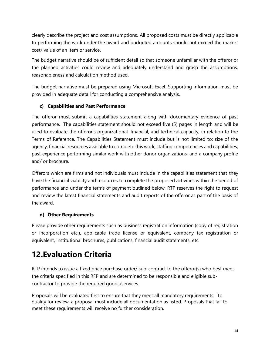clearly describe the project and cost assumptions**.** All proposed costs must be directly applicable to performing the work under the award and budgeted amounts should not exceed the market cost/ value of an item or service.

The budget narrative should be of sufficient detail so that someone unfamiliar with the offeror or the planned activities could review and adequately understand and grasp the assumptions, reasonableness and calculation method used.

The budget narrative must be prepared using Microsoft Excel. Supporting information must be provided in adequate detail for conducting a comprehensive analysis.

### **c) Capabilities and Past Performance**

The offeror must submit a capabilities statement along with documentary evidence of past performance. The capabilities statement should not exceed five (5) pages in length and will be used to evaluate the offeror's organizational, financial, and technical capacity, in relation to the Terms of Reference. The Capabilities Statement must include but is not limited to: size of the agency, financial resources available to complete this work, staffing competencies and capabilities, past experience performing similar work with other donor organizations, and a company profile and/ or brochure.

Offerors which are firms and not individuals must include in the capabilities statement that they have the financial viability and resources to complete the proposed activities within the period of performance and under the terms of payment outlined below. RTP reserves the right to request and review the latest financial statements and audit reports of the offeror as part of the basis of the award.

### **d) Other Requirements**

Please provide other requirements such as business registration information (copy of registration or incorporation etc.), applicable trade license or equivalent, company tax registration or equivalent, institutional brochures, publications, financial audit statements, etc.

# **12.Evaluation Criteria**

RTP intends to issue a fixed price purchase order/ sub-contract to the offeror(s) who best meet the criteria specified in this RFP and are determined to be responsible and eligible subcontractor to provide the required goods/services.

Proposals will be evaluated first to ensure that they meet all mandatory requirements. To quality for review, a proposal must include all documentation as listed. Proposals that fail to meet these requirements will receive no further consideration.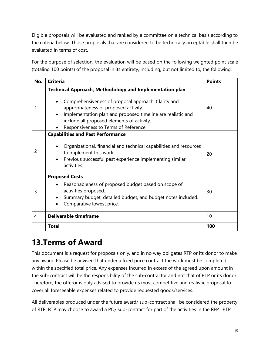Eligible proposals will be evaluated and ranked by a committee on a technical basis according to the criteria below. Those proposals that are considered to be technically acceptable shall then be evaluated in terms of cost.

For the purpose of selection, the evaluation will be based on the following weighted point scale (totaling 100 points) of the proposal in its entirety, including, but not limited to, the following:

| No. | <b>Criteria</b>                                                                                                                                                                                                                                                                                                      | <b>Points</b> |
|-----|----------------------------------------------------------------------------------------------------------------------------------------------------------------------------------------------------------------------------------------------------------------------------------------------------------------------|---------------|
|     | <b>Technical Approach, Methodology and Implementation plan</b><br>Comprehensiveness of proposal approach. Clarity and<br>appropriateness of proposed activity.<br>Implementation plan and proposed timeline are realistic and<br>include all proposed elements of activity.<br>Responsiveness to Terms of Reference. | 40            |
| 2   | <b>Capabilities and Past Performance</b><br>Organizational, financial and technical capabilities and resources<br>to implement this work.<br>Previous successful past experience implementing similar<br>activities.                                                                                                 | 20            |
| 3   | <b>Proposed Costs</b><br>Reasonableness of proposed budget based on scope of<br>activities proposed.<br>Summary budget, detailed budget, and budget notes included.<br>Comparative lowest price.                                                                                                                     | 30            |
| 4   | <b>Deliverable timeframe</b>                                                                                                                                                                                                                                                                                         |               |
|     | Total                                                                                                                                                                                                                                                                                                                | 100           |

# **13.Terms of Award**

This document is a request for proposals only, and in no way obligates RTP or its donor to make any award. Please be advised that under a fixed price contract the work must be completed within the specified total price. Any expenses incurred in excess of the agreed upon amount in the sub-contract will be the responsibility of the sub-contractor and not that of RTP or its donor. Therefore, the offeror is duly advised to provide its most competitive and realistic proposal to cover all foreseeable expenses related to provide requested goods/services.

All deliverables produced under the future award/ sub-contract shall be considered the property of RTP. RTP may choose to award a PO/ sub-contract for part of the activities in the RFP. RTP